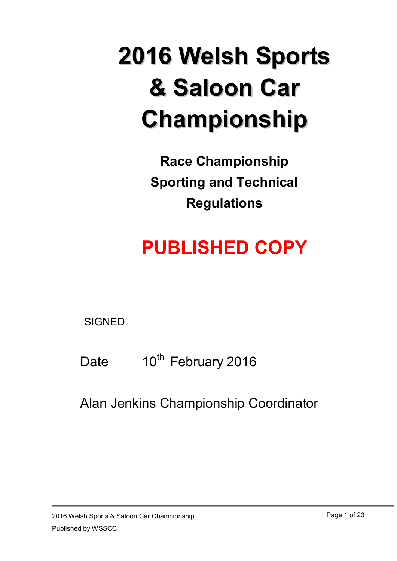# **2016 Welsh Sports & Saloon Car Championship**

**Race Championship Sporting and Technical Regulations**

## **PUBLISHED COPY**

**SIGNED** 

Date 10<sup>th</sup> February 2016

Alan Jenkins Championship Coordinator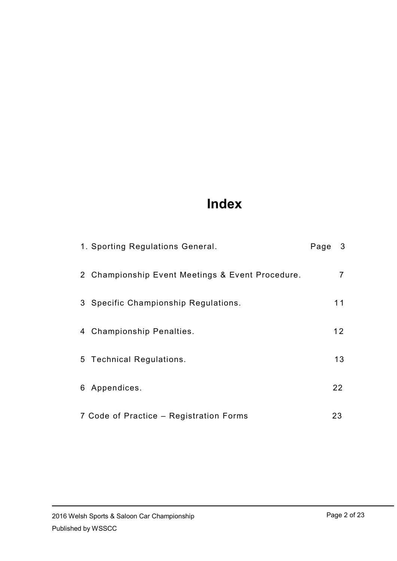## **Index**

| 1. Sporting Regulations General.                 | Page | $\mathbf{3}$ |
|--------------------------------------------------|------|--------------|
| 2 Championship Event Meetings & Event Procedure. |      |              |
| 3 Specific Championship Regulations.             |      | 11           |
| 4 Championship Penalties.                        |      | 12           |
| 5 Technical Regulations.                         |      | 13           |
| 6 Appendices.                                    |      | 22           |
| 7 Code of Practice – Registration Forms          |      | 23           |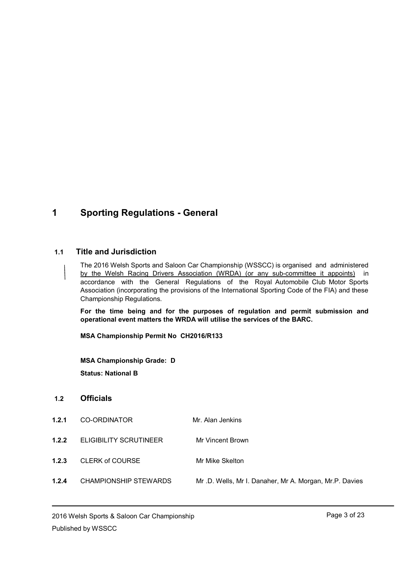## **1 Sporting Regulations - General**

#### **1.1 Title and Jurisdiction**

The 2016 Welsh Sports and Saloon Car Championship (WSSCC) is organised and administered by the Welsh Racing Drivers Association (WRDA) (or any sub-committee it appoints) in accordance with the General Regulations of the Royal Automobile Club Motor Sports Association (incorporating the provisions of the International Sporting Code of the FIA) and these Championship Regulations.

**For the time being and for the purposes of regulation and permit submission and operational event matters the WRDA will utilise the services of the BARC.**

**MSA Championship Permit No CH2016/R133**

**MSA Championship Grade: D Status: National B**

#### **1.2 Officials**

- **1.2.1** CO-ORDINATOR Mr. Alan Jenkins
- **1.2.2** ELIGIBILITY SCRUTINEER Mr Vincent Brown

**1.2.3** CLERK of COURSE Mr Mike Skelton

**1.2.4** CHAMPIONSHIP STEWARDS Mr .D. Wells, Mr I. Danaher, Mr A. Morgan, Mr.P. Davies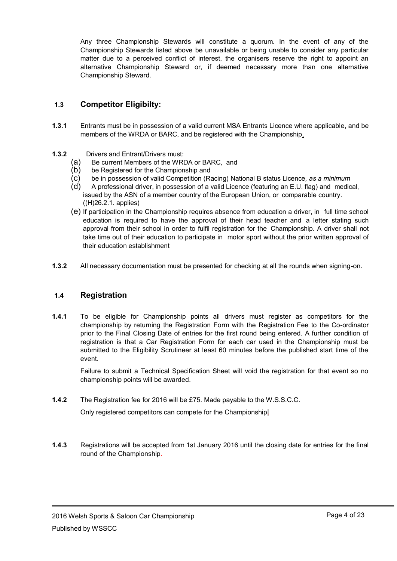Any three Championship Stewards will constitute a quorum. In the event of any of the Championship Stewards listed above be unavailable or being unable to consider any particular matter due to a perceived conflict of interest, the organisers reserve the right to appoint an alternative Championship Steward or, if deemed necessary more than one alternative Championship Steward.

#### **1.3 Competitor Eligibilty:**

- **1.3.1** Entrants must be in possession of a valid current MSA Entrants Licence where applicable, and be members of the WRDA or BARC, and be registered with the Championship.
- **1.3.2** Drivers and Entrant/Drivers must:
	- (a) Be current Members of the WRDA or BARC, and
	-
	- (b) be Registered for the Championship and  $(c)$  be in possession of valid Competition (Ra (c) be in possession of valid Competition (Racing) National B status Licence*, as a minimum*
	- (d) A professional driver, in possession of a valid Licence (featuring an E.U. flag) and medical, issued by the ASN of a member country of the European Union, or comparable country. ((H)26.2.1. applies)
	- (e) If participation in the Championship requires absence from education a driver, in full time school education is required to have the approval of their head teacher and a letter stating such approval from their school in order to fulfil registration for the Championship. A driver shall not take time out of their education to participate in motor sport without the prior written approval of their education establishment
- **1.3.2** All necessary documentation must be presented for checking at all the rounds when signing-on.

#### **1.4 Registration**

**1.4.1** To be eligible for Championship points all drivers must register as competitors for the championship by returning the Registration Form with the Registration Fee to the Co-ordinator prior to the Final Closing Date of entries for the first round being entered. A further condition of registration is that a Car Registration Form for each car used in the Championship must be submitted to the Eligibility Scrutineer at least 60 minutes before the published start time of the event.

Failure to submit a Technical Specification Sheet will void the registration for that event so no championship points will be awarded.

**1.4.2** The Registration fee for 2016 will be £75. Made payable to the W.S.S.C.C.

Only registered competitors can compete for the Championship.

**1.4.3** Registrations will be accepted from 1st January 2016 until the closing date for entries for the final round of the Championship.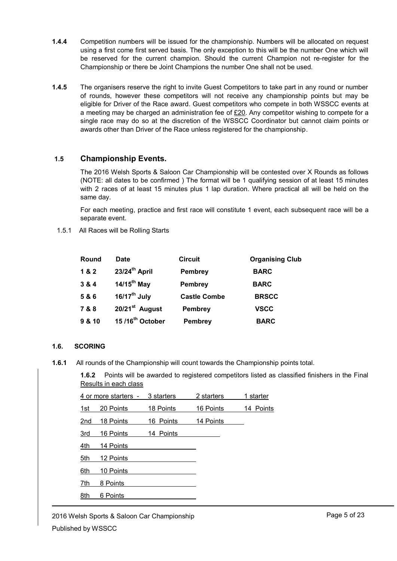- **1.4.4** Competition numbers will be issued for the championship. Numbers will be allocated on request using a first come first served basis. The only exception to this will be the number One which will be reserved for the current champion. Should the current Champion not re-register for the Championship or there be Joint Champions the number One shall not be used.
- **1.4.5** The organisers reserve the right to invite Guest Competitors to take part in any round or number of rounds, however these competitors will not receive any championship points but may be eligible for Driver of the Race award. Guest competitors who compete in both WSSCC events at a meeting may be charged an administration fee of  $E20$ . Any competitor wishing to compete for a single race may do so at the discretion of the WSSCC Coordinator but cannot claim points or awards other than Driver of the Race unless registered for the championship.

#### **1.5 Championship Events.**

The 2016 Welsh Sports & Saloon Car Championship will be contested over X Rounds as follows (NOTE: all dates to be confirmed ) The format will be 1 qualifying session of at least 15 minutes with 2 races of at least 15 minutes plus 1 lap duration. Where practical all will be held on the same day.

For each meeting, practice and first race will constitute 1 event, each subsequent race will be a separate event.

1.5.1 All Races will be Rolling Starts

| Round  | <b>Date</b>                 | <b>Circuit</b>      | <b>Organising Club</b> |
|--------|-----------------------------|---------------------|------------------------|
| 1&2    | 23/24 <sup>th</sup> April   | <b>Pembrey</b>      | <b>BARC</b>            |
| 3 & 4  | 14/15 <sup>th</sup> May     | <b>Pembrey</b>      | <b>BARC</b>            |
| 5 & 6  | $16/17^{\text{th}}$ July    | <b>Castle Combe</b> | <b>BRSCC</b>           |
| 7 & 8  | 20/21 <sup>st</sup> August  | <b>Pembrey</b>      | <b>VSCC</b>            |
| 9 & 10 | 15/16 <sup>th</sup> October | <b>Pembrey</b>      | <b>BARC</b>            |

#### **1.6. SCORING**

**1.6.1** All rounds of the Championship will count towards the Championship points total.

**1.6.2** Points will be awarded to registered competitors listed as classified finishers in the Final Results in each class

| 4 or more starters - |           | 3 starters | 2 starters | 1 starter |
|----------------------|-----------|------------|------------|-----------|
| 1st                  | 20 Points | 18 Points  | 16 Points  | 14 Points |
| 2nd                  | 18 Points | 16 Points  | 14 Points  |           |
| 3rd                  | 16 Points | 14 Points  |            |           |
| 4th                  | 14 Points |            |            |           |
| 5th                  | 12 Points |            |            |           |
| 6th                  | 10 Points |            |            |           |
| 7th                  | 8 Points  |            |            |           |
| 8th                  | 6 Points  |            |            |           |
|                      |           |            |            |           |

2016 Welsh Sports & Saloon Car Championship Published by WSSCC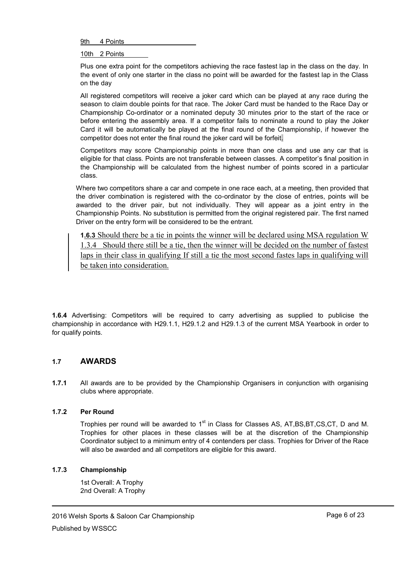9th 4 Points

10th 2 Points

Plus one extra point for the competitors achieving the race fastest lap in the class on the day. In the event of only one starter in the class no point will be awarded for the fastest lap in the Class on the day

All registered competitors will receive a joker card which can be played at any race during the season to claim double points for that race. The Joker Card must be handed to the Race Day or Championship Co-ordinator or a nominated deputy 30 minutes prior to the start of the race or before entering the assembly area. If a competitor fails to nominate a round to play the Joker Card it will be automatically be played at the final round of the Championship, if however the competitor does not enter the final round the joker card will be forfeit.

Competitors may score Championship points in more than one class and use any car that is eligible for that class. Points are not transferable between classes. A competitor's final position in the Championship will be calculated from the highest number of points scored in a particular class.

Where two competitors share a car and compete in one race each, at a meeting, then provided that the driver combination is registered with the co-ordinator by the close of entries, points will be awarded to the driver pair, but not individually. They will appear as a joint entry in the Championship Points. No substitution is permitted from the original registered pair. The first named Driver on the entry form will be considered to be the entrant.

**1.6.3** Should there be a tie in points the winner will be declared using MSA regulation W 1.3.4 Should there still be a tie, then the winner will be decided on the number of fastest laps in their class in qualifying If still a tie the most second fastes laps in qualifying will be taken into consideration.

**1.6.4** Advertising: Competitors will be required to carry advertising as supplied to publicise the championship in accordance with H29.1.1, H29.1.2 and H29.1.3 of the current MSA Yearbook in order to for qualify points.

#### **1.7 AWARDS**

**1.7.1** All awards are to be provided by the Championship Organisers in conjunction with organising clubs where appropriate.

#### **1.7.2 Per Round**

Trophies per round will be awarded to 1<sup>st</sup> in Class for Classes AS, AT,BS,BT,CS,CT, D and M. Trophies for other places in these classes will be at the discretion of the Championship Coordinator subject to a minimum entry of 4 contenders per class. Trophies for Driver of the Race will also be awarded and all competitors are eligible for this award.

#### **1.7.3 Championship**

1st Overall: A Trophy 2nd Overall: A Trophy

2016 Welsh Sports & Saloon Car Championship Published by WSSCC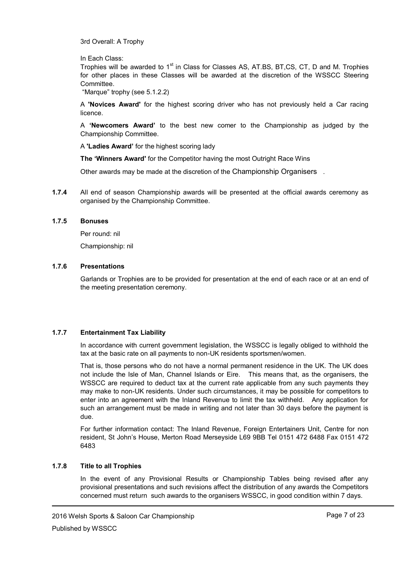3rd Overall: A Trophy

In Each Class:

Trophies will be awarded to 1<sup>st</sup> in Class for Classes AS, AT.BS, BT,CS, CT, D and M. Trophies for other places in these Classes will be awarded at the discretion of the WSSCC Steering Committee.

"Marque" trophy (see 5.1.2.2)

A **'Novices Award'** for the highest scoring driver who has not previously held a Car racing licence.

A **'Newcomers Award'** to the best new comer to the Championship as judged by the Championship Committee.

A **'Ladies Award'** for the highest scoring lady

**The 'Winners Award'** for the Competitor having the most Outright Race Wins

Other awards may be made at the discretion of the Championship Organisers .

**1.7.4** All end of season Championship awards will be presented at the official awards ceremony as organised by the Championship Committee.

#### **1.7.5 Bonuses**

Per round: nil

Championship: nil

#### **1.7.6 Presentations**

Garlands or Trophies are to be provided for presentation at the end of each race or at an end of the meeting presentation ceremony.

#### **1.7.7 Entertainment Tax Liability**

In accordance with current government legislation, the WSSCC is legally obliged to withhold the tax at the basic rate on all payments to non-UK residents sportsmen/women.

That is, those persons who do not have a normal permanent residence in the UK. The UK does not include the Isle of Man, Channel Islands or Eire. This means that, as the organisers, the WSSCC are required to deduct tax at the current rate applicable from any such payments they may make to non-UK residents. Under such circumstances, it may be possible for competitors to enter into an agreement with the Inland Revenue to limit the tax withheld. Any application for such an arrangement must be made in writing and not later than 30 days before the payment is due.

For further information contact: The Inland Revenue, Foreign Entertainers Unit, Centre for non resident, St John"s House, Merton Road Merseyside L69 9BB Tel 0151 472 6488 Fax 0151 472 6483

#### **1.7.8 Title to all Trophies**

In the event of any Provisional Results or Championship Tables being revised after any provisional presentations and such revisions affect the distribution of any awards the Competitors concerned must return such awards to the organisers WSSCC, in good condition within 7 days.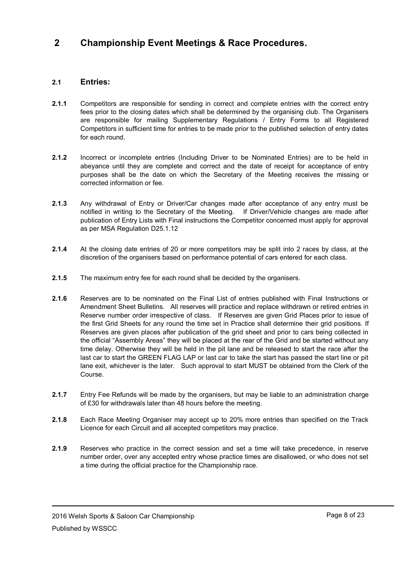## **2 Championship Event Meetings & Race Procedures.**

#### **2.1 Entries:**

- **2.1.1** Competitors are responsible for sending in correct and complete entries with the correct entry fees prior to the closing dates which shall be determined by the organising club. The Organisers are responsible for mailing Supplementary Regulations / Entry Forms to all Registered Competitors in sufficient time for entries to be made prior to the published selection of entry dates for each round.
- **2.1.2** Incorrect or incomplete entries (Including Driver to be Nominated Entries) are to be held in abeyance until they are complete and correct and the date of receipt for acceptance of entry purposes shall be the date on which the Secretary of the Meeting receives the missing or corrected information or fee.
- **2.1.3** Any withdrawal of Entry or Driver/Car changes made after acceptance of any entry must be notified in writing to the Secretary of the Meeting. If Driver/Vehicle changes are made after publication of Entry Lists with Final instructions the Competitor concerned must apply for approval as per MSA Regulation D25.1.12
- **2.1.4** At the closing date entries of 20 or more competitors may be split into 2 races by class, at the discretion of the organisers based on performance potential of cars entered for each class.
- **2.1.5** The maximum entry fee for each round shall be decided by the organisers.
- **2.1.6** Reserves are to be nominated on the Final List of entries published with Final Instructions or Amendment Sheet Bulletins. All reserves will practice and replace withdrawn or retired entries in Reserve number order irrespective of class. If Reserves are given Grid Places prior to issue of the first Grid Sheets for any round the time set in Practice shall determine their grid positions. If Reserves are given places after publication of the grid sheet and prior to cars being collected in the official "Assembly Areas" they will be placed at the rear of the Grid and be started without any time delay. Otherwise they will be held in the pit lane and be released to start the race after the last car to start the GREEN FLAG LAP or last car to take the start has passed the start line or pit lane exit, whichever is the later. Such approval to start MUST be obtained from the Clerk of the Course.
- **2.1.7** Entry Fee Refunds will be made by the organisers, but may be liable to an administration charge of £30 for withdrawals later than 48 hours before the meeting.
- **2.1.8** Each Race Meeting Organiser may accept up to 20% more entries than specified on the Track Licence for each Circuit and all accepted competitors may practice.
- **2.1.9** Reserves who practice in the correct session and set a time will take precedence, in reserve number order, over any accepted entry whose practice times are disallowed, or who does not set a time during the official practice for the Championship race.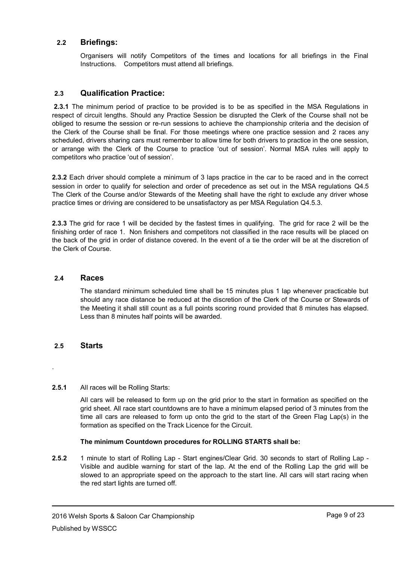#### **2.2 Briefings:**

Organisers will notify Competitors of the times and locations for all briefings in the Final Instructions. Competitors must attend all briefings.

#### **2.3 Qualification Practice:**

**2.3.1** The minimum period of practice to be provided is to be as specified in the MSA Regulations in respect of circuit lengths. Should any Practice Session be disrupted the Clerk of the Course shall not be obliged to resume the session or re-run sessions to achieve the championship criteria and the decision of the Clerk of the Course shall be final. For those meetings where one practice session and 2 races any scheduled, drivers sharing cars must remember to allow time for both drivers to practice in the one session, or arrange with the Clerk of the Course to practice "out of session". Normal MSA rules will apply to competitors who practice "out of session".

**2.3.2** Each driver should complete a minimum of 3 laps practice in the car to be raced and in the correct session in order to qualify for selection and order of precedence as set out in the MSA regulations Q4.5 The Clerk of the Course and/or Stewards of the Meeting shall have the right to exclude any driver whose practice times or driving are considered to be unsatisfactory as per MSA Regulation Q4.5.3.

**2.3.3** The grid for race 1 will be decided by the fastest times in qualifying. The grid for race 2 will be the finishing order of race 1. Non finishers and competitors not classified in the race results will be placed on the back of the grid in order of distance covered. In the event of a tie the order will be at the discretion of the Clerk of Course.

#### **2.4 Races**

The standard minimum scheduled time shall be 15 minutes plus 1 lap whenever practicable but should any race distance be reduced at the discretion of the Clerk of the Course or Stewards of the Meeting it shall still count as a full points scoring round provided that 8 minutes has elapsed. Less than 8 minutes half points will be awarded.

#### **2.5 Starts**

.

#### **2.5.1** All races will be Rolling Starts:

All cars will be released to form up on the grid prior to the start in formation as specified on the grid sheet. All race start countdowns are to have a minimum elapsed period of 3 minutes from the time all cars are released to form up onto the grid to the start of the Green Flag Lap(s) in the formation as specified on the Track Licence for the Circuit.

#### **The minimum Countdown procedures for ROLLING STARTS shall be:**

**2.5.2** 1 minute to start of Rolling Lap - Start engines/Clear Grid. 30 seconds to start of Rolling Lap - Visible and audible warning for start of the lap. At the end of the Rolling Lap the grid will be slowed to an appropriate speed on the approach to the start line. All cars will start racing when the red start lights are turned off.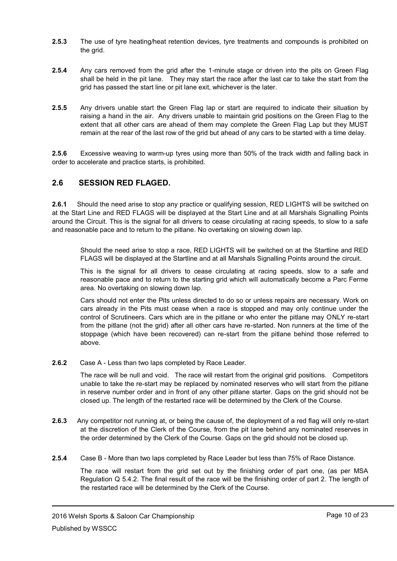- **2.5.3** The use of tyre heating/heat retention devices, tyre treatments and compounds is prohibited on the grid.
- **2.5.4** Any cars removed from the grid after the 1-minute stage or driven into the pits on Green Flag shall be held in the pit lane. They may start the race after the last car to take the start from the grid has passed the start line or pit lane exit, whichever is the later.
- **2.5.5** Any drivers unable start the Green Flag lap or start are required to indicate their situation by raising a hand in the air. Any drivers unable to maintain grid positions on the Green Flag to the extent that all other cars are ahead of them may complete the Green Flag Lap but they MUST remain at the rear of the last row of the grid but ahead of any cars to be started with a time delay.

**2.5.6** Excessive weaving to warm-up tyres using more than 50% of the track width and falling back in order to accelerate and practice starts, is prohibited.

#### **2.6 SESSION RED FLAGED.**

**2.6.1** Should the need arise to stop any practice or qualifying session, RED LIGHTS will be switched on at the Start Line and RED FLAGS will be displayed at the Start Line and at all Marshals Signalling Points around the Circuit. This is the signal for all drivers to cease circulating at racing speeds, to slow to a safe and reasonable pace and to return to the pitlane. No overtaking on slowing down lap.

Should the need arise to stop a race, RED LIGHTS will be switched on at the Startline and RED FLAGS will be displayed at the Startline and at all Marshals Signalling Points around the circuit.

This is the signal for all drivers to cease circulating at racing speeds, slow to a safe and reasonable pace and to return to the starting grid which will automatically become a Parc Ferme area. No overtaking on slowing down lap.

Cars should not enter the Pits unless directed to do so or unless repairs are necessary. Work on cars already in the Pits must cease when a race is stopped and may only continue under the control of Scrutineers. Cars which are in the pitlane or who enter the pitlane may ONLY re-start from the pitlane (not the grid) after all other cars have re-started. Non runners at the time of the stoppage (which have been recovered) can re-start from the pitlane behind those referred to above.

**2.6.2** Case A - Less than two laps completed by Race Leader.

The race will be null and void. The race will restart from the original grid positions. Competitors unable to take the re-start may be replaced by nominated reserves who will start from the pitlane in reserve number order and in front of any other pitlane starter. Gaps on the grid should not be closed up. The length of the restarted race will be determined by the Clerk of the Course.

- **2.6.3** Any competitor not running at, or being the cause of, the deployment of a red flag will only re-start at the discretion of the Clerk of the Course, from the pit lane behind any nominated reserves in the order determined by the Clerk of the Course. Gaps on the grid should not be closed up.
- **2.5.4** Case B More than two laps completed by Race Leader but less than 75% of Race Distance.

The race will restart from the grid set out by the finishing order of part one, (as per MSA Regulation Q 5.4.2. The final result of the race will be the finishing order of part 2. The length of the restarted race will be determined by the Clerk of the Course.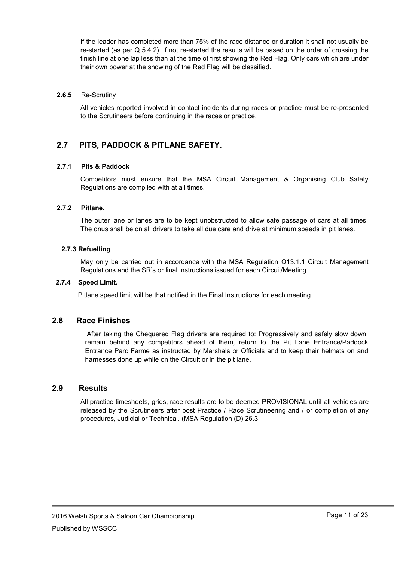If the leader has completed more than 75% of the race distance or duration it shall not usually be re-started (as per Q 5.4.2). If not re-started the results will be based on the order of crossing the finish line at one lap less than at the time of first showing the Red Flag. Only cars which are under their own power at the showing of the Red Flag will be classified.

#### **2.6.5** Re-Scrutiny

All vehicles reported involved in contact incidents during races or practice must be re-presented to the Scrutineers before continuing in the races or practice.

#### **2.7 PITS, PADDOCK & PITLANE SAFETY.**

#### **2.7.1 Pits & Paddock**

Competitors must ensure that the MSA Circuit Management & Organising Club Safety Regulations are complied with at all times.

#### **2.7.2 Pitlane.**

The outer lane or lanes are to be kept unobstructed to allow safe passage of cars at all times. The onus shall be on all drivers to take all due care and drive at minimum speeds in pit lanes.

#### **2.7.3 Refuelling**

May only be carried out in accordance with the MSA Regulation Q13.1.1 Circuit Management Regulations and the SR"s or final instructions issued for each Circuit/Meeting.

#### **2.7.4 Speed Limit.**

Pitlane speed limit will be that notified in the Final Instructions for each meeting.

#### **2.8 Race Finishes**

After taking the Chequered Flag drivers are required to: Progressively and safely slow down, remain behind any competitors ahead of them, return to the Pit Lane Entrance/Paddock Entrance Parc Ferme as instructed by Marshals or Officials and to keep their helmets on and harnesses done up while on the Circuit or in the pit lane.

#### **2.9 Results**

All practice timesheets, grids, race results are to be deemed PROVISIONAL until all vehicles are released by the Scrutineers after post Practice / Race Scrutineering and / or completion of any procedures, Judicial or Technical. (MSA Regulation (D) 26.3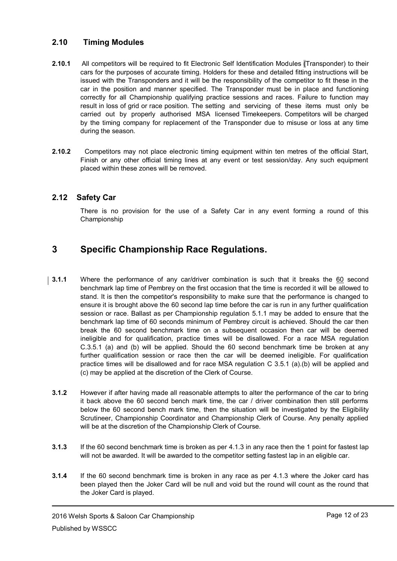#### **2.10 Timing Modules**

- **2.10.1** All competitors will be required to fit Electronic Self Identification Modules (Transponder) to their cars for the purposes of accurate timing. Holders for these and detailed fitting instructions will be issued with the Transponders and it will be the responsibility of the competitor to fit these in the car in the position and manner specified. The Transponder must be in place and functioning correctly for all Championship qualifying practice sessions and races. Failure to function may result in loss of grid or race position. The setting and servicing of these items must only be carried out by properly authorised MSA licensed Timekeepers. Competitors will be charged by the timing company for replacement of the Transponder due to misuse or loss at any time during the season.
- **2.10.2** Competitors may not place electronic timing equipment within ten metres of the official Start, Finish or any other official timing lines at any event or test session/day. Any such equipment placed within these zones will be removed.

#### **2.12 Safety Car**

There is no provision for the use of a Safety Car in any event forming a round of this Championship

## **3 Specific Championship Race Regulations.**

- **3.1.1** Where the performance of any car/driver combination is such that it breaks the 60 second benchmark lap time of Pembrey on the first occasion that the time is recorded it will be allowed to stand. It is then the competitor's responsibility to make sure that the performance is changed to ensure it is brought above the 60 second lap time before the car is run in any further qualification session or race. Ballast as per Championship regulation 5.1.1 may be added to ensure that the benchmark lap time of 60 seconds minimum of Pembrey circuit is achieved. Should the car then break the 60 second benchmark time on a subsequent occasion then car will be deemed ineligible and for qualification, practice times will be disallowed. For a race MSA regulation C.3.5.1 (a) and (b) will be applied. Should the 60 second benchmark time be broken at any further qualification session or race then the car will be deemed ineligible. For qualification practice times will be disallowed and for race MSA regulation C 3.5.1 (a).(b) will be applied and (c) may be applied at the discretion of the Clerk of Course.
	- **3.1.2** However if after having made all reasonable attempts to alter the performance of the car to bring it back above the 60 second bench mark time, the car / driver combination then still performs below the 60 second bench mark time, then the situation will be investigated by the Eligibility Scrutineer, Championship Coordinator and Championship Clerk of Course. Any penalty applied will be at the discretion of the Championship Clerk of Course.
	- **3.1.3** If the 60 second benchmark time is broken as per 4.1.3 in any race then the 1 point for fastest lap will not be awarded. It will be awarded to the competitor setting fastest lap in an eligible car.
	- **3.1.4** If the 60 second benchmark time is broken in any race as per 4.1.3 where the Joker card has been played then the Joker Card will be null and void but the round will count as the round that the Joker Card is played.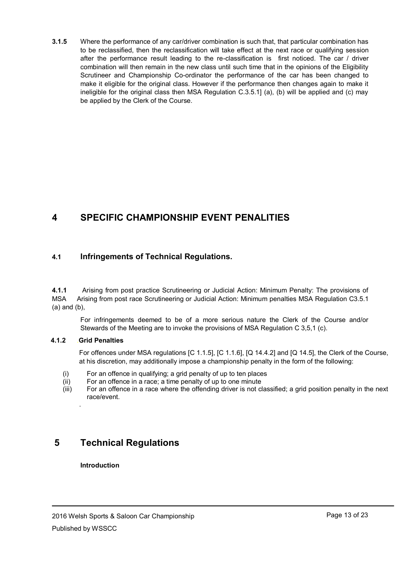**3.1.5** Where the performance of any car/driver combination is such that, that particular combination has to be reclassified, then the reclassification will take effect at the next race or qualifying session after the performance result leading to the re-classification is first noticed. The car / driver combination will then remain in the new class until such time that in the opinions of the Eligibility Scrutineer and Championship Co-ordinator the performance of the car has been changed to make it eligible for the original class. However if the performance then changes again to make it ineligible for the original class then MSA Regulation C.3.5.1] (a), (b) will be applied and (c) may be applied by the Clerk of the Course.

## **4 SPECIFIC CHAMPIONSHIP EVENT PENALITIES**

#### **4.1 Infringements of Technical Regulations.**

**4.1.1** Arising from post practice Scrutineering or Judicial Action: Minimum Penalty: The provisions of MSA Arising from post race Scrutineering or Judicial Action: Minimum penalties MSA Regulation C3.5.1 (a) and (b),

For infringements deemed to be of a more serious nature the Clerk of the Course and/or Stewards of the Meeting are to invoke the provisions of MSA Regulation C 3,5,1 (c).

#### **4.1.2** .**Grid Penalties**

.

For offences under MSA regulations [C 1.1.5], [C 1.1.6], [Q 14.4.2] and [Q 14.5], the Clerk of the Course, at his discretion, may additionally impose a championship penalty in the form of the following:

- (i) For an offence in qualifying; a grid penalty of up to ten places
- (ii) For an offence in a race; a time penalty of up to one minute
- (iii) For an offence in a race where the offending driver is not classified; a grid position penalty in the next race/event.

## **5 Technical Regulations**

#### **Introduction**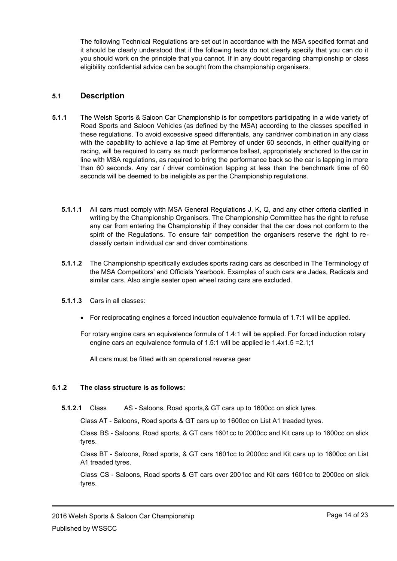The following Technical Regulations are set out in accordance with the MSA specified format and it should be clearly understood that if the following texts do not clearly specify that you can do it you should work on the principle that you cannot. If in any doubt regarding championship or class eligibility confidential advice can be sought from the championship organisers.

#### **5.1 Description**

- **5.1.1** The Welsh Sports & Saloon Car Championship is for competitors participating in a wide variety of Road Sports and Saloon Vehicles (as defined by the MSA) according to the classes specified in these regulations. To avoid excessive speed differentials, any car/driver combination in any class with the capability to achieve a lap time at Pembrey of under 60 seconds, in either qualifying or racing, will be required to carry as much performance ballast, appropriately anchored to the car in line with MSA regulations, as required to bring the performance back so the car is lapping in more than 60 seconds. Any car / driver combination lapping at less than the benchmark time of 60 seconds will be deemed to be ineligible as per the Championship regulations.
	- **5.1.1.1** All cars must comply with MSA General Regulations J, K, Q, and any other criteria clarified in writing by the Championship Organisers. The Championship Committee has the right to refuse any car from entering the Championship if they consider that the car does not conform to the spirit of the Regulations. To ensure fair competition the organisers reserve the right to reclassify certain individual car and driver combinations.
	- **5.1.1.2** The Championship specifically excludes sports racing cars as described in The Terminology of the MSA Competitors' and Officials Yearbook. Examples of such cars are Jades, Radicals and similar cars. Also single seater open wheel racing cars are excluded.
	- **5.1.1.3** Cars in all classes:
		- For reciprocating engines a forced induction equivalence formula of 1.7:1 will be applied.

For rotary engine cars an equivalence formula of 1.4:1 will be applied. For forced induction rotary engine cars an equivalence formula of 1.5:1 will be applied ie 1.4x1.5 =2.1;1

All cars must be fitted with an operational reverse gear

#### **5.1.2 The class structure is as follows:**

**5.1.2.1** Class AS - Saloons, Road sports,& GT cars up to 1600cc on slick tyres.

Class AT - Saloons, Road sports & GT cars up to 1600cc on List A1 treaded tyres.

Class BS - Saloons, Road sports, & GT cars 1601cc to 2000cc and Kit cars up to 1600cc on slick tyres.

Class BT - Saloons, Road sports, & GT cars 1601cc to 2000cc and Kit cars up to 1600cc on List A1 treaded tyres.

Class CS - Saloons, Road sports & GT cars over 2001cc and Kit cars 1601cc to 2000cc on slick tyres.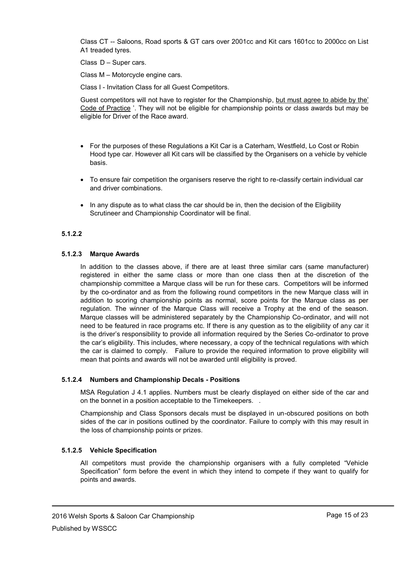Class CT -- Saloons, Road sports & GT cars over 2001cc and Kit cars 1601cc to 2000cc on List A1 treaded tyres.

Class D – Super cars.

Class M – Motorcycle engine cars.

Class I - Invitation Class for all Guest Competitors.

Guest competitors will not have to register for the Championship, but must agree to abide by the" Code of Practice ". They will not be eligible for championship points or class awards but may be eligible for Driver of the Race award.

- For the purposes of these Regulations a Kit Car is a Caterham, Westfield, Lo Cost or Robin Hood type car. However all Kit cars will be classified by the Organisers on a vehicle by vehicle basis.
- To ensure fair competition the organisers reserve the right to re-classify certain individual car and driver combinations.
- In any dispute as to what class the car should be in, then the decision of the Eligibility Scrutineer and Championship Coordinator will be final.

#### **5.1.2.2**

#### **5.1.2.3 Marque Awards**

In addition to the classes above, if there are at least three similar cars (same manufacturer) registered in either the same class or more than one class then at the discretion of the championship committee a Marque class will be run for these cars. Competitors will be informed by the co-ordinator and as from the following round competitors in the new Marque class will in addition to scoring championship points as normal, score points for the Marque class as per regulation. The winner of the Marque Class will receive a Trophy at the end of the season. Marque classes will be administered separately by the Championship Co-ordinator, and will not need to be featured in race programs etc. If there is any question as to the eligibility of any car it is the driver"s responsibility to provide all information required by the Series Co-ordinator to prove the car"s eligibility. This includes, where necessary, a copy of the technical regulations with which the car is claimed to comply. Failure to provide the required information to prove eligibility will mean that points and awards will not be awarded until eligibility is proved.

#### **5.1.2.4 Numbers and Championship Decals - Positions**

MSA Regulation J 4.1 applies. Numbers must be clearly displayed on either side of the car and on the bonnet in a position acceptable to the Timekeepers. .

Championship and Class Sponsors decals must be displayed in un-obscured positions on both sides of the car in positions outlined by the coordinator. Failure to comply with this may result in the loss of championship points or prizes.

#### **5.1.2.5 Vehicle Specification**

All competitors must provide the championship organisers with a fully completed "Vehicle Specification" form before the event in which they intend to compete if they want to qualify for points and awards.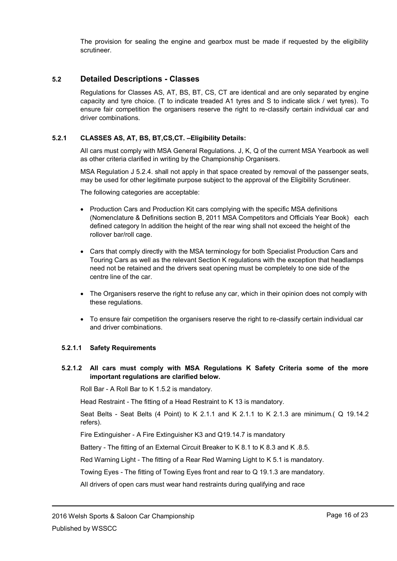The provision for sealing the engine and gearbox must be made if requested by the eligibility scrutineer.

#### **5.2 Detailed Descriptions - Classes**

Regulations for Classes AS, AT, BS, BT, CS, CT are identical and are only separated by engine capacity and tyre choice. (T to indicate treaded A1 tyres and S to indicate slick / wet tyres). To ensure fair competition the organisers reserve the right to re-classify certain individual car and driver combinations.

#### **5.2.1 CLASSES AS, AT, BS, BT,CS,CT. –Eligibility Details:**

All cars must comply with MSA General Regulations. J, K, Q of the current MSA Yearbook as well as other criteria clarified in writing by the Championship Organisers.

MSA Regulation J 5.2.4. shall not apply in that space created by removal of the passenger seats, may be used for other legitimate purpose subject to the approval of the Eligibility Scrutineer.

The following categories are acceptable:

- Production Cars and Production Kit cars complying with the specific MSA definitions (Nomenclature & Definitions section B, 2011 MSA Competitors and Officials Year Book) each defined category In addition the height of the rear wing shall not exceed the height of the rollover bar/roll cage.
- Cars that comply directly with the MSA terminology for both Specialist Production Cars and Touring Cars as well as the relevant Section K regulations with the exception that headlamps need not be retained and the drivers seat opening must be completely to one side of the centre line of the car.
- The Organisers reserve the right to refuse any car, which in their opinion does not comply with these regulations.
- To ensure fair competition the organisers reserve the right to re-classify certain individual car and driver combinations.

#### **5.2.1.1 Safety Requirements**

#### **5.2.1.2 All cars must comply with MSA Regulations K Safety Criteria some of the more important regulations are clarified below.**

Roll Bar - A Roll Bar to K 1.5.2 is mandatory.

Head Restraint - The fitting of a Head Restraint to K 13 is mandatory.

Seat Belts - Seat Belts (4 Point) to K 2.1.1 and K 2.1.1 to K 2.1.3 are minimum.( Q 19.14.2 refers).

Fire Extinguisher - A Fire Extinguisher K3 and Q19.14.7 is mandatory

Battery - The fitting of an External Circuit Breaker to K 8.1 to K 8.3 and K .8.5.

Red Warning Light - The fitting of a Rear Red Warning Light to K 5.1 is mandatory.

Towing Eyes - The fitting of Towing Eyes front and rear to Q 19.1.3 are mandatory.

All drivers of open cars must wear hand restraints during qualifying and race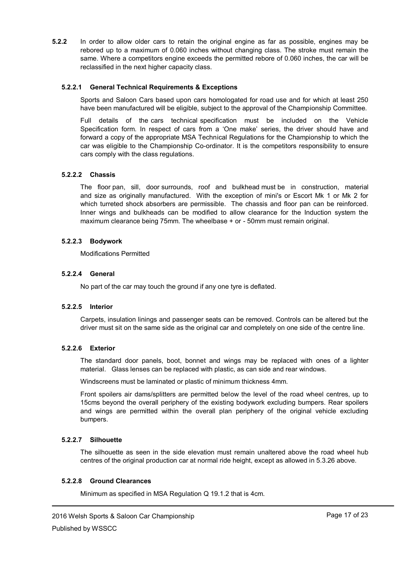**5.2.2** In order to allow older cars to retain the original engine as far as possible, engines may be rebored up to a maximum of 0.060 inches without changing class. The stroke must remain the same. Where a competitors engine exceeds the permitted rebore of 0.060 inches, the car will be reclassified in the next higher capacity class.

#### **5.2.2.1 General Technical Requirements & Exceptions**

Sports and Saloon Cars based upon cars homologated for road use and for which at least 250 have been manufactured will be eligible, subject to the approval of the Championship Committee.

Full details of the cars technical specification must be included on the Vehicle Specification form. In respect of cars from a 'One make' series, the driver should have and forward a copy of the appropriate MSA Technical Regulations for the Championship to which the car was eligible to the Championship Co-ordinator. It is the competitors responsibility to ensure cars comply with the class regulations.

#### **5.2.2.2 Chassis**

The floor pan, sill, door surrounds, roof and bulkhead must be in construction, material and size as originally manufactured. With the exception of mini's or Escort Mk 1 or Mk 2 for which turreted shock absorbers are permissible. The chassis and floor pan can be reinforced. Inner wings and bulkheads can be modified to allow clearance for the Induction system the maximum clearance being 75mm. The wheelbase + or - 50mm must remain original.

#### **5.2.2.3 Bodywork**

Modifications Permitted

#### **5.2.2.4 General**

No part of the car may touch the ground if any one tyre is deflated.

#### **5.2.2.5 Interior**

Carpets, insulation linings and passenger seats can be removed. Controls can be altered but the driver must sit on the same side as the original car and completely on one side of the centre line.

#### **5.2.2.6 Exterior**

The standard door panels, boot, bonnet and wings may be replaced with ones of a lighter material. Glass lenses can be replaced with plastic, as can side and rear windows.

Windscreens must be laminated or plastic of minimum thickness 4mm.

Front spoilers air dams/splitters are permitted below the level of the road wheel centres, up to 15cms beyond the overall periphery of the existing bodywork excluding bumpers. Rear spoilers and wings are permitted within the overall plan periphery of the original vehicle excluding bumpers.

#### **5.2.2.7 Silhouette**

The silhouette as seen in the side elevation must remain unaltered above the road wheel hub centres of the original production car at normal ride height, except as allowed in 5.3.26 above.

#### **5.2.2.8 Ground Clearances**

Minimum as specified in MSA Regulation Q 19.1.2 that is 4cm.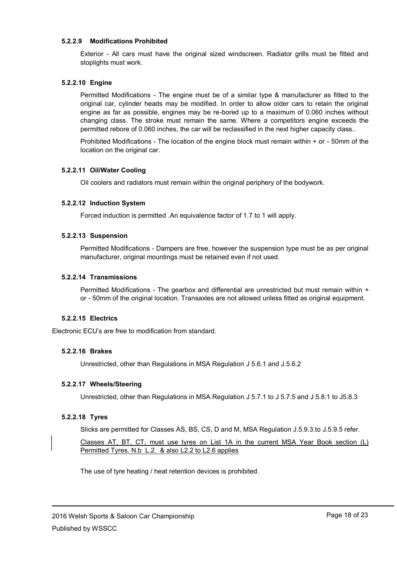#### **5.2.2.9 Modifications Prohibited**

Exterior - All cars must have the original sized windscreen. Radiator grills must be fitted and stoplights must work.

#### **5.2.2.10 Engine**

Permitted Modifications - The engine must be of a similar type & manufacturer as fitted to the original car, cylinder heads may be modified. In order to allow older cars to retain the original engine as far as possible, engines may be re-bored up to a maximum of 0.060 inches without changing class. The stroke must remain the same. Where a competitors engine exceeds the permitted rebore of 0.060 inches, the car will be reclassified in the next higher capacity class..

Prohibited Modifications - The location of the engine block must remain within + or - 50mm of the location on the original car.

#### **5.2.2.11 Oil/Water Cooling**

Oil coolers and radiators must remain within the original periphery of the bodywork.

#### **5.2.2.12 Induction System**

Forced induction is permitted .An equivalence factor of 1.7 to 1 will apply.

#### **5.2.2.13 Suspension**

Permitted Modifications - Dampers are free, however the suspension type must be as per original manufacturer, original mountings must be retained even if not used.

#### **5.2.2.14 Transmissions**

Permitted Modifications - The gearbox and differential are unrestricted but must remain within + or - 50mm of the original location. Transaxles are not allowed unless fitted as original equipment.

#### **5.2.2.15 Electrics**

Electronic ECU"s are free to modification from standard.

#### **5.2.2.16 Brakes**

Unrestricted, other than Regulations in MSA Regulation J 5.6.1 and J.5.6.2

#### **5.2.2.17 Wheels/Steering**

Unrestricted, other than Regulations in MSA Regulation J 5.7.1 to J 5.7.5 and J 5.8.1 to J5.8.3

#### **5.2.2.18 Tyres**

Slicks are permitted for Classes AS, BS, CS, D and M, MSA Regulation J.5.9.3.to J.5.9.5 refer.

Classes AT, BT, CT, must use tyres on List 1A in the current MSA Year Book section (L) Permitted Tyres. N.b L.2. & also L2.2 to L2.6 applies

The use of tyre heating / heat retention devices is prohibited.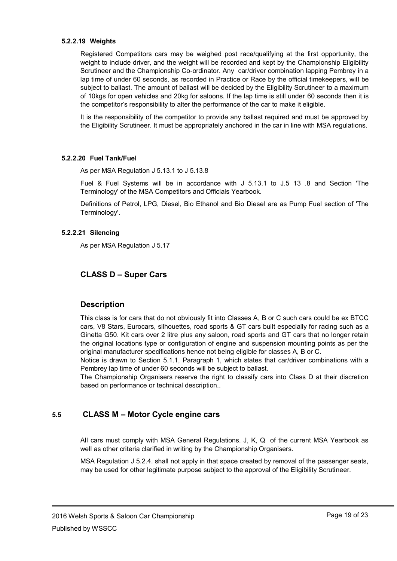#### **5.2.2.19 Weights**

Registered Competitors cars may be weighed post race/qualifying at the first opportunity, the weight to include driver, and the weight will be recorded and kept by the Championship Eligibility Scrutineer and the Championship Co-ordinator. Any car/driver combination lapping Pembrey in a lap time of under 60 seconds, as recorded in Practice or Race by the official timekeepers, will be subject to ballast. The amount of ballast will be decided by the Eligibility Scrutineer to a maximum of 10kgs for open vehicles and 20kg for saloons. If the lap time is still under 60 seconds then it is the competitor"s responsibility to alter the performance of the car to make it eligible.

It is the responsibility of the competitor to provide any ballast required and must be approved by the Eligibility Scrutineer. It must be appropriately anchored in the car in line with MSA regulations.

#### **5.2.2.20 Fuel Tank/Fuel**

As per MSA Regulation J 5.13.1 to J 5.13.8

Fuel & Fuel Systems will be in accordance with J 5.13.1 to J.5 13 .8 and Section 'The Terminology' of the MSA Competitors and Officials Yearbook.

Definitions of Petrol, LPG, Diesel, Bio Ethanol and Bio Diesel are as Pump Fuel section of 'The Terminology'.

#### **5.2.2.21 Silencing**

As per MSA Regulation J 5.17

#### **5.3 CLASS D – Super Cars**

#### **5.4 Description**

This class is for cars that do not obviously fit into Classes A, B or C such cars could be ex BTCC cars, V8 Stars, Eurocars, silhouettes, road sports & GT cars built especially for racing such as a Ginetta G50. Kit cars over 2 litre plus any saloon, road sports and GT cars that no longer retain the original locations type or configuration of engine and suspension mounting points as per the original manufacturer specifications hence not being eligible for classes A, B or C.

Notice is drawn to Section 5.1.1, Paragraph 1, which states that car/driver combinations with a Pembrey lap time of under 60 seconds will be subject to ballast.

The Championship Organisers reserve the right to classify cars into Class D at their discretion based on performance or technical description..

#### **5.5 CLASS M – Motor Cycle engine cars**

All cars must comply with MSA General Regulations. J, K, Q of the current MSA Yearbook as well as other criteria clarified in writing by the Championship Organisers.

MSA Regulation J 5.2.4. shall not apply in that space created by removal of the passenger seats, may be used for other legitimate purpose subject to the approval of the Eligibility Scrutineer.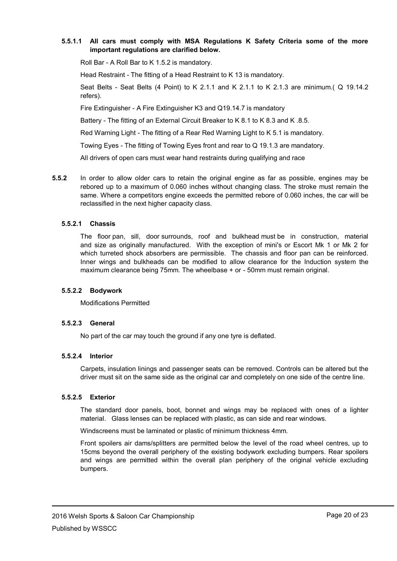#### **5.5.1.1 All cars must comply with MSA Regulations K Safety Criteria some of the more important regulations are clarified below.**

Roll Bar - A Roll Bar to K 1.5.2 is mandatory.

Head Restraint - The fitting of a Head Restraint to K 13 is mandatory.

Seat Belts - Seat Belts (4 Point) to K 2.1.1 and K 2.1.1 to K 2.1.3 are minimum.( Q 19.14.2 refers).

Fire Extinguisher - A Fire Extinguisher K3 and Q19.14.7 is mandatory

Battery - The fitting of an External Circuit Breaker to K 8.1 to K 8.3 and K .8.5.

Red Warning Light - The fitting of a Rear Red Warning Light to K 5.1 is mandatory.

Towing Eyes - The fitting of Towing Eyes front and rear to Q 19.1.3 are mandatory.

All drivers of open cars must wear hand restraints during qualifying and race

**5.5.2** In order to allow older cars to retain the original engine as far as possible, engines may be rebored up to a maximum of 0.060 inches without changing class. The stroke must remain the same. Where a competitors engine exceeds the permitted rebore of 0.060 inches, the car will be reclassified in the next higher capacity class.

#### **5.5.2.1 Chassis**

The floor pan, sill, door surrounds, roof and bulkhead must be in construction, material and size as originally manufactured. With the exception of mini's or Escort Mk 1 or Mk 2 for which turreted shock absorbers are permissible. The chassis and floor pan can be reinforced. Inner wings and bulkheads can be modified to allow clearance for the Induction system the maximum clearance being 75mm. The wheelbase + or - 50mm must remain original.

#### **5.5.2.2 Bodywork**

Modifications Permitted

#### **5.5.2.3 General**

No part of the car may touch the ground if any one tyre is deflated.

#### **5.5.2.4 Interior**

Carpets, insulation linings and passenger seats can be removed. Controls can be altered but the driver must sit on the same side as the original car and completely on one side of the centre line.

#### **5.5.2.5 Exterior**

The standard door panels, boot, bonnet and wings may be replaced with ones of a lighter material. Glass lenses can be replaced with plastic, as can side and rear windows.

Windscreens must be laminated or plastic of minimum thickness 4mm.

Front spoilers air dams/splitters are permitted below the level of the road wheel centres, up to 15cms beyond the overall periphery of the existing bodywork excluding bumpers. Rear spoilers and wings are permitted within the overall plan periphery of the original vehicle excluding bumpers.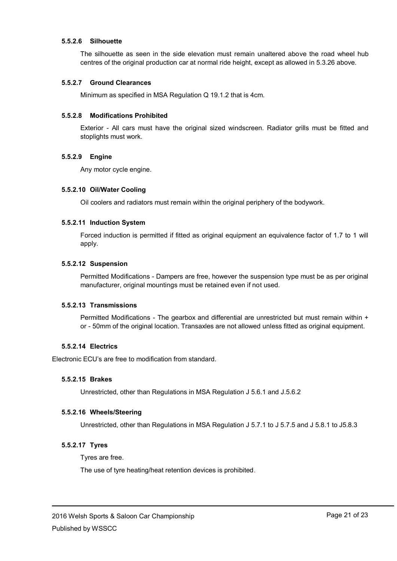#### **5.5.2.6 Silhouette**

The silhouette as seen in the side elevation must remain unaltered above the road wheel hub centres of the original production car at normal ride height, except as allowed in 5.3.26 above.

#### **5.5.2.7 Ground Clearances**

Minimum as specified in MSA Regulation Q 19.1.2 that is 4cm.

#### **5.5.2.8 Modifications Prohibited**

Exterior - All cars must have the original sized windscreen. Radiator grills must be fitted and stoplights must work.

#### **5.5.2.9 Engine**

Any motor cycle engine.

#### **5.5.2.10 Oil/Water Cooling**

Oil coolers and radiators must remain within the original periphery of the bodywork.

#### **5.5.2.11 Induction System**

Forced induction is permitted if fitted as original equipment an equivalence factor of 1.7 to 1 will apply.

#### **5.5.2.12 Suspension**

Permitted Modifications - Dampers are free, however the suspension type must be as per original manufacturer, original mountings must be retained even if not used.

#### **5.5.2.13 Transmissions**

Permitted Modifications - The gearbox and differential are unrestricted but must remain within + or - 50mm of the original location. Transaxles are not allowed unless fitted as original equipment.

#### **5.5.2.14 Electrics**

Electronic ECU"s are free to modification from standard.

#### **5.5.2.15 Brakes**

Unrestricted, other than Regulations in MSA Regulation J 5.6.1 and J.5.6.2

#### **5.5.2.16 Wheels/Steering**

Unrestricted, other than Regulations in MSA Regulation J 5.7.1 to J 5.7.5 and J 5.8.1 to J5.8.3

#### **5.5.2.17 Tyres**

Tyres are free.

The use of tyre heating/heat retention devices is prohibited.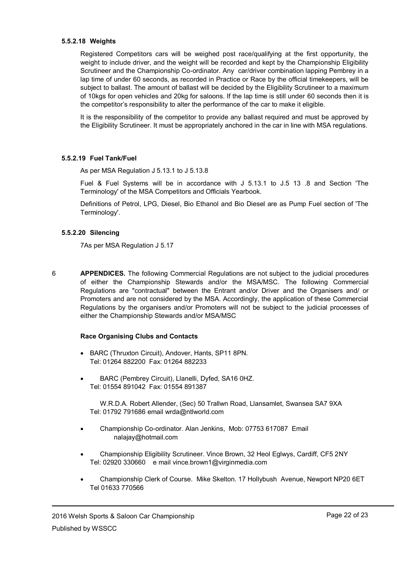#### **5.5.2.18 Weights**

Registered Competitors cars will be weighed post race/qualifying at the first opportunity, the weight to include driver, and the weight will be recorded and kept by the Championship Eligibility Scrutineer and the Championship Co-ordinator. Any car/driver combination lapping Pembrey in a lap time of under 60 seconds, as recorded in Practice or Race by the official timekeepers, will be subject to ballast. The amount of ballast will be decided by the Eligibility Scrutineer to a maximum of 10kgs for open vehicles and 20kg for saloons. If the lap time is still under 60 seconds then it is the competitor"s responsibility to alter the performance of the car to make it eligible.

It is the responsibility of the competitor to provide any ballast required and must be approved by the Eligibility Scrutineer. It must be appropriately anchored in the car in line with MSA regulations.

#### **5.5.2.19 Fuel Tank/Fuel**

As per MSA Regulation J 5.13.1 to J 5.13.8

Fuel & Fuel Systems will be in accordance with J 5.13.1 to J.5 13 .8 and Section 'The Terminology' of the MSA Competitors and Officials Yearbook.

Definitions of Petrol, LPG, Diesel, Bio Ethanol and Bio Diesel are as Pump Fuel section of 'The Terminology'.

#### **5.5.2.20 Silencing**

7As per MSA Regulation J 5.17

6 **APPENDICES.** The following Commercial Regulations are not subject to the judicial procedures of either the Championship Stewards and/or the MSA/MSC. The following Commercial Regulations are "contractual" between the Entrant and/or Driver and the Organisers and/ or Promoters and are not considered by the MSA. Accordingly, the application of these Commercial Regulations by the organisers and/or Promoters will not be subject to the judicial processes of either the Championship Stewards and/or MSA/MSC

#### **Race Organising Clubs and Contacts**

- BARC (Thruxton Circuit), Andover, Hants, SP11 8PN. Tel: 01264 882200 Fax: 01264 882233
- BARC (Pembrey Circuit), Llanelli, Dyfed, SA16 0HZ. Tel: 01554 891042 Fax: 01554 891387

W.R.D.A. Robert Allender, (Sec) 50 Trallwn Road, Llansamlet, Swansea SA7 9XA Tel: 01792 791686 email wrda@ntlworld.com

- Championship Co-ordinator. Alan Jenkins, Mob: 07753 617087 Email nalajay@hotmail.com
- Championship Eligibility Scrutineer. Vince Brown, 32 Heol Eglwys, Cardiff, CF5 2NY Tel: 02920 330660 e mail vince.brown1@virginmedia.com
- Championship Clerk of Course. Mike Skelton. 17 Hollybush Avenue, Newport NP20 6ET Tel 01633 770566